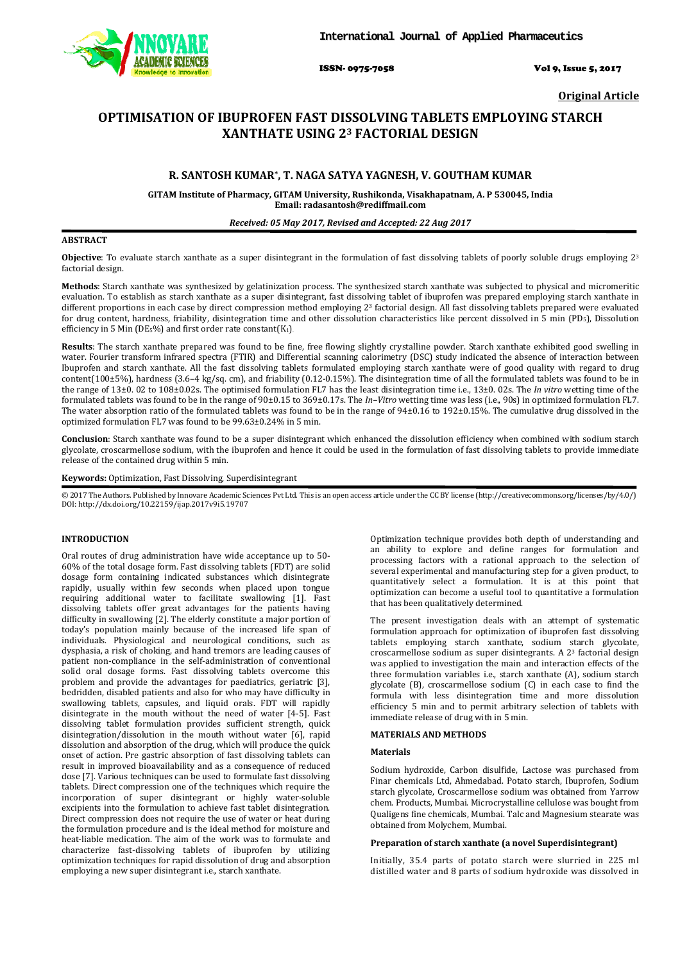

ISSN- 0975-7058 Vol 9, Issue 5, 2017

**Original Article** 

# **OPTIMISATION OF IBUPROFEN FAST DISSOLVING TABLETS EMPLOYING STARCH XANTHATE USING 23 FACTORIAL DESIGN**

## **R. SANTOSH KUMAR\* , T. NAGA SATYA YAGNESH, V. GOUTHAM KUMAR**

**GITAM Institute of Pharmacy, GITAM University, Rushikonda, Visakhapatnam, A. P 530045, India Email: radasantosh@rediffmail.com** 

## *Received: 05 May 2017, Revised and Accepted: 22 Aug 2017*

## **ABSTRACT**

**Objective**: To evaluate starch xanthate as a super disintegrant in the formulation of fast dissolving tablets of poorly soluble drugs employing 2<sup>3</sup> factorial design.

**Methods**: Starch xanthate was synthesized by gelatinization process. The synthesized starch xanthate was subjected to physical and micromeritic evaluation. To establish as starch xanthate as a super disintegrant, fast dissolving tablet of ibuprofen was prepared employing starch xanthate in different proportions in each case by direct compression method employing 23 factorial design. All fast dissolving tablets prepared were evaluated for drug content, hardness, friability, disintegration time and other dissolution characteristics like percent dissolved in 5 min (PD<sub>5</sub>), Dissolution efficiency in 5 Min (DE<sub>5</sub>%) and first order rate constant( $K_1$ ).

**Results**: The starch xanthate prepared was found to be fine, free flowing slightly crystalline powder. Starch xanthate exhibited good swelling in water. Fourier transform infrared spectra (FTIR) and Differential scanning calorimetry (DSC) study indicated the absence of interaction between Ibuprofen and starch xanthate. All the fast dissolving tablets formulated employing starch xanthate were of good quality with regard to drug content(100±5%), hardness (3.6–4 kg/sq. cm), and friability (0.12-0.15%). The disintegration time of all the formulated tablets was found to be in the range of 13±0. 02 to 108±0.02s. The optimised formulation FL7 has the least disintegration time i.e., 13±0. 02s. The *In vitro* wetting time of the formulated tablets was found to be in the range of 90±0.15 to 369±0.17s. The *In–Vitro* wetting time was less (i.e., 90s) in optimized formulation FL7. The water absorption ratio of the formulated tablets was found to be in the range of  $94\pm0.16$  to  $192\pm0.15\%$ . The cumulative drug dissolved in the optimized formulation FL7 was found to be 99.63±0.24% in 5 min.

**Conclusion**: Starch xanthate was found to be a super disintegrant which enhanced the dissolution efficiency when combined with sodium starch glycolate, croscarmellose sodium, with the ibuprofen and hence it could be used in the formulation of fast dissolving tablets to provide immediate release of the contained drug within 5 min.

#### **Keywords:** Optimization, Fast Dissolving, Superdisintegrant

© 2017 The Authors. Published by Innovare Academic Sciences Pvt Ltd. This is an open access article under the CC BY license (http://creativecommons.org/licenses/by/4.0/) DOI: http://dx.doi.org/10.22159/ijap.2017v9i5.19707

## **INTRODUCTION**

Oral routes of drug administration have wide acceptance up to 50- 60% of the total dosage form. Fast dissolving tablets (FDT) are solid dosage form containing indicated substances which disintegrate rapidly, usually within few seconds when placed upon tongue requiring additional water to facilitate swallowing [1]. Fast dissolving tablets offer great advantages for the patients having difficulty in swallowing [2]. The elderly constitute a major portion of today's population mainly because of the increased life span of individuals. Physiological and neurological conditions, such as dysphasia, a risk of choking, and hand tremors are leading causes of patient non-compliance in the self-administration of conventional solid oral dosage forms. Fast dissolving tablets overcome this problem and provide the advantages for paediatrics, geriatric [3], bedridden, disabled patients and also for who may have difficulty in swallowing tablets, capsules, and liquid orals. FDT will rapidly disintegrate in the mouth without the need of water [4-5]. Fast dissolving tablet formulation provides sufficient strength, quick disintegration/dissolution in the mouth without water [6], rapid dissolution and absorption of the drug, which will produce the quick onset of action. Pre gastric absorption of fast dissolving tablets can result in improved bioavailability and as a consequence of reduced dose [7]. Various techniques can be used to formulate fast dissolving tablets. Direct compression one of the techniques which require the incorporation of super disintegrant or highly water-soluble excipients into the formulation to achieve fast tablet disintegration. Direct compression does not require the use of water or heat during the formulation procedure and is the ideal method for moisture and heat-liable medication. The aim of the work was to formulate and characterize fast-dissolving tablets of ibuprofen by utilizing optimization techniques for rapid dissolution of drug and absorption employing a new super disintegrant i.e., starch xanthate.

Optimization technique provides both depth of understanding and an ability to explore and define ranges for formulation and processing factors with a rational approach to the selection of several experimental and manufacturing step for a given product, to quantitatively select a formulation. It is at this point that optimization can become a useful tool to quantitative a formulation that has been qualitatively determined.

The present investigation deals with an attempt of systematic formulation approach for optimization of ibuprofen fast dissolving tablets employing starch xanthate, sodium starch glycolate, croscarmellose sodium as super disintegrants. A 23 factorial design was applied to investigation the main and interaction effects of the three formulation variables i.e., starch xanthate (A), sodium starch glycolate (B), croscarmellose sodium (C) in each case to find the formula with less disintegration time and more dissolution efficiency 5 min and to permit arbitrary selection of tablets with immediate release of drug with in 5 min.

## **MATERIALS AND METHODS**

#### **Materials**

Sodium hydroxide, Carbon disulfide, Lactose was purchased from Finar chemicals Ltd, Ahmedabad. Potato starch, Ibuprofen, Sodium starch glycolate, Croscarmellose sodium was obtained from Yarrow chem. Products, Mumbai. Microcrystalline cellulose was bought from Qualigens fine chemicals, Mumbai. Talc and Magnesium stearate was obtained from Molychem, Mumbai.

## **Preparation of starch xanthate (a novel Superdisintegrant)**

Initially, 35.4 parts of potato starch were slurried in 225 ml distilled water and 8 parts of sodium hydroxide was dissolved in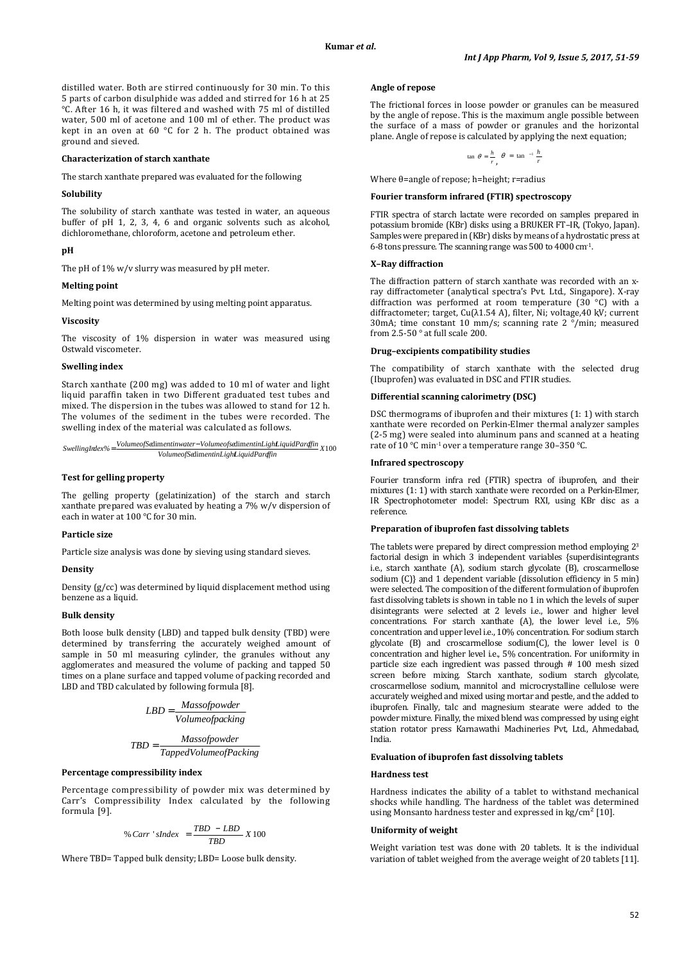distilled water. Both are stirred continuously for 30 min. To this 5 parts of carbon disulphide was added and stirred for 16 h at 25 °C. After 16 h, it was filtered and washed with 75 ml of distilled water, 500 ml of acetone and 100 ml of ether. The product was kept in an oven at 60 °C for 2 h. The product obtained was ground and sieved.

#### **Characterization of starch xanthate**

The starch xanthate prepared was evaluated for the following

#### **Solubility**

The solubility of starch xanthate was tested in water, an aqueous buffer of pH 1, 2, 3, 4, 6 and organic solvents such as alcohol, dichloromethane, chloroform, acetone and petroleum ether.

#### **pH**

The pH of 1% w/v slurry was measured by pH meter.

#### **Melting point**

Melting point was determined by using melting point apparatus.

#### **Viscosity**

The viscosity of 1% dispersion in water was measured using Ostwald viscometer.

#### **Swelling index**

Starch xanthate (200 mg) was added to 10 ml of water and light liquid paraffin taken in two Different graduated test tubes and mixed. The dispersion in the tubes was allowed to stand for 12 h. The volumes of the sediment in the tubes were recorded. The swelling index of the material was calculated as follows.

$$
Swelling Intex\% = \frac{Volume of \text{Sdimentinwater-Volume of} \text{sdimentinLighLiquid} \text{Paraffin}}{Volume of \text{SdimentinLighLiquid} \text{Paraffin}} \text{X100}
$$

## **Test for gelling property**

The gelling property (gelatinization) of the starch and starch xanthate prepared was evaluated by heating a 7% w/v dispersion of each in water at 100 °C for 30 min.

#### **Particle size**

Particle size analysis was done by sieving using standard sieves.

## **Density**

Density (g/cc) was determined by liquid displacement method using benzene as a liquid.

#### **Bulk density**

Both loose bulk density (LBD) and tapped bulk density (TBD) were determined by transferring the accurately weighed amount of sample in 50 ml measuring cylinder, the granules without any agglomerates and measured the volume of packing and tapped 50 times on a plane surface and tapped volume of packing recorded and LBD and TBD calculated by following formula [8].

$$
LBD = \frac{Massofpower}{Volumeofpacking}
$$

$$
TBD = \frac{Massofpower}{TappedVolumeofPacking}
$$

#### **Percentage compressibility index**

Percentage compressibility of powder mix was determined by Carr's Compressibility Index calculated by the following formula [9].

% Carr 'shdex = 
$$
\frac{TBD - LBD}{TBD} \times 100
$$

Where TBD= Tapped bulk density; LBD= Loose bulk density.

#### **Angle of repose**

The frictional forces in loose powder or granules can be measured by the angle of repose. This is the maximum angle possible between the surface of a mass of powder or granules and the horizontal plane. Angle of repose is calculated by applying the next equation;

$$
\tan \theta = \frac{h}{r}, \theta = \tan^{-1} \frac{h}{r}
$$

Where θ=angle of repose; h=height; r=radius

#### **Fourier transform infrared (FTIR) spectroscopy**

FTIR spectra of starch lactate were recorded on samples prepared in potassium bromide (KBr) disks using a BRUKER FT–IR, (Tokyo, Japan). Samples were prepared in (KBr) disks by means of a hydrostatic press at 6-8 tons pressure. The scanning range was 500 to 4000 cm-1.

#### **X–Ray diffraction**

The diffraction pattern of starch xanthate was recorded with an xray diffractometer (analytical spectra's Pvt. Ltd., Singapore). X-ray diffraction was performed at room temperature (30 °C) with a diffractometer; target, Cu(λ1.54 A), filter, Ni; voltage,40 ⱪV; current 30mA; time constant 10 mm/s; scanning rate 2 °/min; measured from 2.5-50 ° at full scale 200.

#### **Drug–excipients compatibility studies**

The compatibility of starch xanthate with the selected drug (Ibuprofen) was evaluated in DSC and FTIR studies.

## **Differential scanning calorimetry (DSC)**

DSC thermograms of ibuprofen and their mixtures (1: 1) with starch xanthate were recorded on Perkin-Elmer thermal analyzer samples (2-5 mg) were sealed into aluminum pans and scanned at a heating rate of 10 °C min-1 over a temperature range 30–350 °C.

#### **Infrared spectroscopy**

Fourier transform infra red (FTIR) spectra of ibuprofen, and their mixtures (1: 1) with starch xanthate were recorded on a Perkin-Elmer, IR Spectrophotometer model: Spectrum RXI, using KBr disc as a reference.

#### **Preparation of ibuprofen fast dissolving tablets**

The tablets were prepared by direct compression method employing 2<sup>3</sup> factorial design in which 3 independent variables {superdisintegrants i.e., starch xanthate (A), sodium starch glycolate (B), croscarmellose sodium (C)} and 1 dependent variable (dissolution efficiency in 5 min) were selected. The composition of the different formulation of ibuprofen fast dissolving tablets is shown in table no 1 in which the levels of super disintegrants were selected at 2 levels i.e., lower and higher level concentrations. For starch xanthate (A), the lower level i.e., 5% concentration and upper level i.e., 10% concentration. For sodium starch glycolate (B) and croscarmellose sodium(C), the lower level is 0 concentration and higher level i.e., 5% concentration. For uniformity in particle size each ingredient was passed through # 100 mesh sized screen before mixing. Starch xanthate, sodium starch glycolate, croscarmellose sodium, mannitol and microcrystalline cellulose were accurately weighed and mixed using mortar and pestle, and the added to ibuprofen. Finally, talc and magnesium stearate were added to the powder mixture. Finally, the mixed blend was compressed by using eight station rotator press Karnawathi Machineries Pvt, Ltd., Ahmedabad, India.

## **Evaluation of ibuprofen fast dissolving tablets**

#### **Hardness test**

Hardness indicates the ability of a tablet to withstand mechanical shocks while handling. The hardness of the tablet was determined using Monsanto hardness tester and expressed in kg/cm<sup>2</sup> [10].

#### **Uniformity of weight**

Weight variation test was done with 20 tablets. It is the individual variation of tablet weighed from the average weight of 20 tablets [11].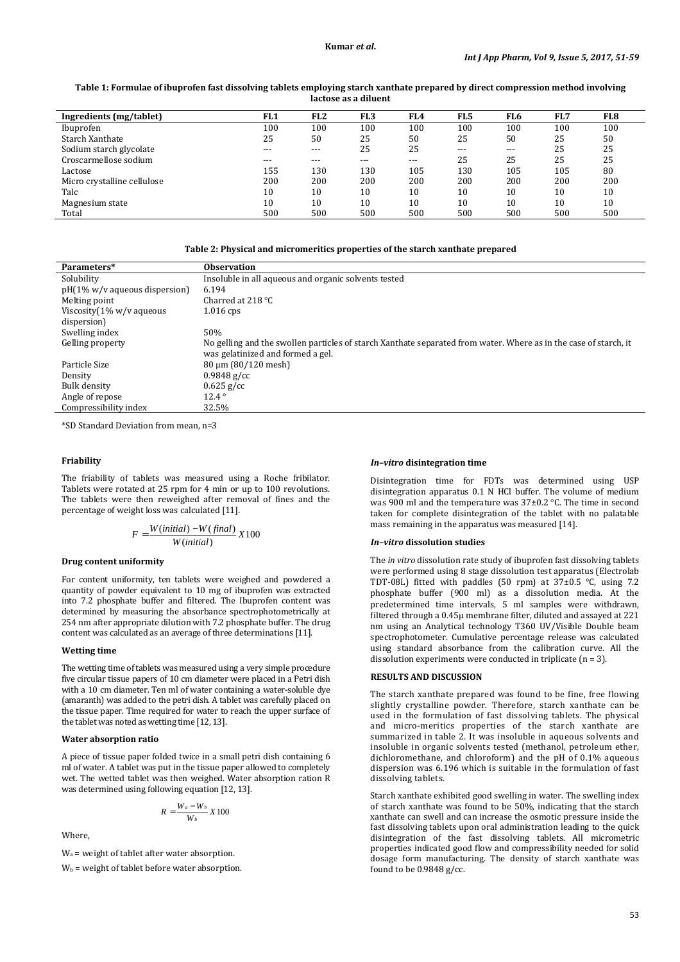### **Table 1: Formulae of ibuprofen fast dissolving tablets employing starch xanthate prepared by direct compression method involving lactose as a diluent**

| Ingredients (mg/tablet)     | FL <sub>1</sub> | FL <sub>2</sub> | FL <sub>3</sub> | FL4   | FL5   | FL <sub>6</sub> | FL7 | FL8 |
|-----------------------------|-----------------|-----------------|-----------------|-------|-------|-----------------|-----|-----|
| Ibuprofen                   | 100             | 100             | 100             | 100   | 100   | 100             | 100 | 100 |
| Starch Xanthate             | 25              | 50              | 25              | 50    | 25    | 50              | 25  | 50  |
| Sodium starch glycolate     | ---             | ---             | 25              | 25    | $---$ | $---$           | 25  | 25  |
| Croscarmellose sodium       | $---$           | $- - -$         | ---             | $---$ | 25    | 25              | 25  | 25  |
| Lactose                     | 155             | 130             | 130             | 105   | 130   | 105             | 105 | 80  |
| Micro crystalline cellulose | 200             | 200             | 200             | 200   | 200   | 200             | 200 | 200 |
| Talc                        | 10              | 10              | 10              | 10    | 10    | 10              | 10  | 10  |
| Magnesium state             | 10              | 10              | 10              | 10    | 10    | 10              | 10  | 10  |
| Total                       | 500             | 500             | 500             | 500   | 500   | 500             | 500 | 500 |

**Table 2: Physical and micromeritics properties of the starch xanthate prepared** 

| Parameters*                            | <b>Observation</b>                                                                                               |
|----------------------------------------|------------------------------------------------------------------------------------------------------------------|
| Solubility                             | Insoluble in all aqueous and organic solvents tested                                                             |
| $pH(1\% w/v)$ aqueous dispersion       | 6.194                                                                                                            |
| Melting point                          | Charred at $218\text{ °C}$                                                                                       |
| Viscosity $(1\% \text{ w/v} )$ aqueous | $1.016$ cps                                                                                                      |
| dispersion)                            |                                                                                                                  |
| Swelling index                         | 50%                                                                                                              |
| Gelling property                       | No gelling and the swollen particles of starch Xanthate separated from water. Where as in the case of starch, it |
|                                        | was gelatinized and formed a gel.                                                                                |
| Particle Size                          | $80 \mu m (80/120 \text{ mesh})$                                                                                 |
| Density                                | $0.9848$ g/cc                                                                                                    |
| Bulk density                           | $0.625$ g/cc                                                                                                     |
| Angle of repose                        | $12.4^\circ$                                                                                                     |
| Compressibility index                  | 32.5%                                                                                                            |

\*SD Standard Deviation from mean, n=3

## **Friability**

The friability of tablets was measured using a Roche fribilator. Tablets were rotated at 25 rpm for 4 min or up to 100 revolutions. The tablets were then reweighed after removal of fines and the percentage of weight loss was calculated [11].

$$
F = \frac{W(inital) - W(final)}{W(inital)} X100
$$

#### **Drug content uniformity**

For content uniformity, ten tablets were weighed and powdered a quantity of powder equivalent to 10 mg of ibuprofen was extracted into 7.2 phosphate buffer and filtered. The Ibuprofen content was determined by measuring the absorbance spectrophotometrically at 254 nm after appropriate dilution with 7.2 phosphate buffer. The drug content was calculated as an average of three determinations [11].

#### **Wetting time**

The wetting time of tablets was measured using a very simple procedure five circular tissue papers of 10 cm diameter were placed in a Petri dish with a 10 cm diameter. Ten ml of water containing a water-soluble dye (amaranth) was added to the petri dish. A tablet was carefully placed on the tissue paper. Time required for water to reach the upper surface of the tablet was noted as wetting time [12, 13].

## **Water absorption ratio**

A piece of tissue paper folded twice in a small petri dish containing 6 ml of water. A tablet was put in the tissue paper allowed to completely wet. The wetted tablet was then weighed. Water absorption ration R was determined using following equation [12, 13].

$$
R = \frac{W_a - W_b}{W_b} X 100
$$

Where,

Wa = weight of tablet after water absorption.

 $W_b$  = weight of tablet before water absorption.

#### *In–vitro* **disintegration time**

Disintegration time for FDTs was determined using USP disintegration apparatus 0.1 N HCl buffer. The volume of medium was 900 ml and the temperature was 37±0.2 °C. The time in second taken for complete disintegration of the tablet with no palatable mass remaining in the apparatus was measured [14].

## *In–vitro* **dissolution studies**

The *in vitro* dissolution rate study of ibuprofen fast dissolving tablets were performed using 8 stage dissolution test apparatus (Electrolab TDT-08L) fitted with paddles (50 rpm) at 37±0.5 °C, using 7.2 phosphate buffer (900 ml) as a dissolution media. At the predetermined time intervals, 5 ml samples were withdrawn, filtered through a 0.45µ membrane filter, diluted and assayed at 221 nm using an Analytical technology T360 UV/Visible Double beam spectrophotometer. Cumulative percentage release was calculated using standard absorbance from the calibration curve. All the dissolution experiments were conducted in triplicate (n = 3).

#### **RESULTS AND DISCUSSION**

The starch xanthate prepared was found to be fine, free flowing slightly crystalline powder. Therefore, starch xanthate can be used in the formulation of fast dissolving tablets. The physical and micro-meritics properties of the starch xanthate are summarized in table 2. It was insoluble in aqueous solvents and insoluble in organic solvents tested (methanol, petroleum ether, dichloromethane, and chloroform) and the pH of 0.1% aqueous dispersion was 6.196 which is suitable in the formulation of fast dissolving tablets.

Starch xanthate exhibited good swelling in water. The swelling index of starch xanthate was found to be 50%, indicating that the starch xanthate can swell and can increase the osmotic pressure inside the fast dissolving tablets upon oral administration leading to the quick disintegration of the fast dissolving tablets. All micrometric properties indicated good flow and compressibility needed for solid dosage form manufacturing. The density of starch xanthate was found to be 0.9848 g/cc.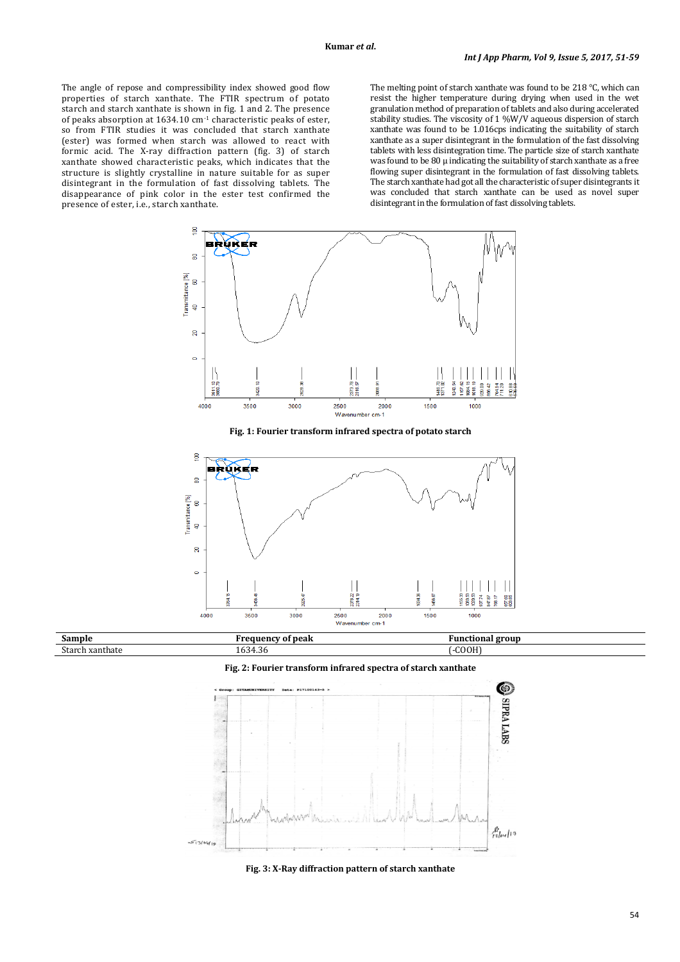The angle of repose and compressibility index showed good flow properties of starch xanthate. The FTIR spectrum of potato starch and starch xanthate is shown in fig. 1 and 2. The presence of peaks absorption at 1634.10 cm-1 characteristic peaks of ester, so from FTIR studies it was concluded that starch xanthate (ester) was formed when starch was allowed to react with formic acid. The X-ray diffraction pattern (fig. 3) of starch xanthate showed characteristic peaks, which indicates that the structure is slightly crystalline in nature suitable for as super disintegrant in the formulation of fast dissolving tablets. The disappearance of pink color in the ester test confirmed the presence of ester, i.e., starch xanthate.

The melting point of starch xanthate was found to be 218 °C, which can resist the higher temperature during drying when used in the wet granulation method of preparation of tablets and also during accelerated stability studies. The viscosity of 1 %W/V aqueous dispersion of starch xanthate was found to be 1.016cps indicating the suitability of starch xanthate as a super disintegrant in the formulation of the fast dissolving tablets with less disintegration time. The particle size of starch xanthate was found to be 80  $\mu$  indicating the suitability of starch xanthate as a free flowing super disintegrant in the formulation of fast dissolving tablets. The starch xanthate had got all the characteristic of super disintegrants it was concluded that starch xanthate can be used as novel super disintegrant in the formulation of fast dissolving tablets.



**Fig. 1: Fourier transform infrared spectra of potato starch** 



| Sample            | of peak<br>.<br>u.                      | group<br>Functiona. |
|-------------------|-----------------------------------------|---------------------|
| xanthate<br>' مار | $\sim$ $\sim$<br>$\sim$<br>1634<br>7.JU | COOH)               |

**Fig. 2: Fourier transform infrared spectra of starch xanthate** 



**Fig. 3: X-Ray diffraction pattern of starch xanthate**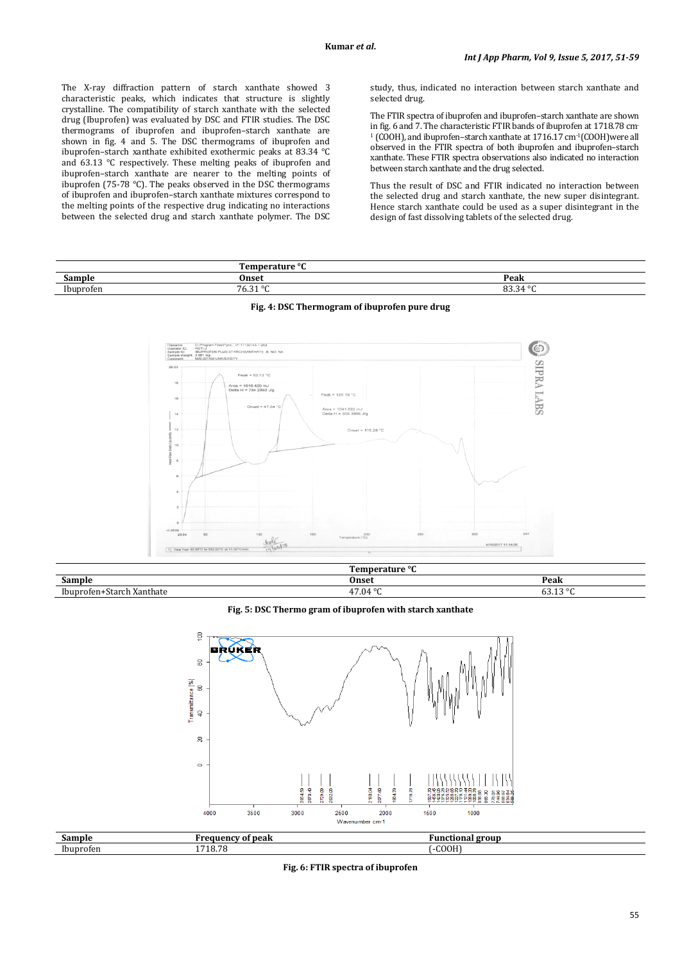The X-ray diffraction pattern of starch xanthate showed 3 characteristic peaks, which indicates that structure is slightly crystalline. The compatibility of starch xanthate with the selected drug (Ibuprofen) was evaluated by DSC and FTIR studies. The DSC thermograms of ibuprofen and ibuprofen–starch xanthate are shown in fig. 4 and 5. The DSC thermograms of ibuprofen and ibuprofen–starch xanthate exhibited exothermic peaks at 83.34 °C and 63.13 °C respectively. These melting peaks of ibuprofen and ibuprofen–starch xanthate are nearer to the melting points of ibuprofen (75-78 °C). The peaks observed in the DSC thermograms of ibuprofen and ibuprofen–starch xanthate mixtures correspond to the melting points of the respective drug indicating no interactions between the selected drug and starch xanthate polymer. The DSC study, thus, indicated no interaction between starch xanthate and selected drug.

The FTIR spectra of ibuprofen and ibuprofen–starch xanthate are shown in fig. 6 and 7. The characteristic FTIR bands of ibuprofen at 1718.78 cm-<sup>1</sup> (COOH), and ibuprofen–starch xanthate at 1716.17 cm-1(COOH)were all observed in the FTIR spectra of both ibuprofen and ibuprofen–starch xanthate. These FTIR spectra observations also indicated no interaction between starch xanthate and the drug selected.

Thus the result of DSC and FTIR indicated no interaction between the selected drug and starch xanthate, the new super disintegrant. Hence starch xanthate could be used as a super disintegrant in the design of fast dissolving tablets of the selected drug.

|                       | $\Omega$<br>----       |                               |
|-----------------------|------------------------|-------------------------------|
| .                     | Onse                   | Peak                          |
| Ibunroton<br>uren<br> | $\sim$ $\sim$<br>. U.J | $\sim$<br>$\sim$<br>oo.<br>۰. |



#### **Fig. 4: DSC Thermogram of ibuprofen pure drug**

|                                  | Temperature °C    |                     |
|----------------------------------|-------------------|---------------------|
| ∽<br>Sample                      | Onset             | Peak                |
| .,<br>-Ibuprofen+Starch Xanthate | 17.04<br>$\Omega$ | .420<br>$\sim$<br>. |

## **Fig. 5: DSC Thermo gram of ibuprofen with starch xanthate**



| Sample           | .<br><sup>.</sup> peak | grout<br>ʻun<br>. |  |
|------------------|------------------------|-------------------|--|
| - -<br>Ibuprofen | 718.78                 | COOH)             |  |

**Fig. 6: FTIR spectra of ibuprofen**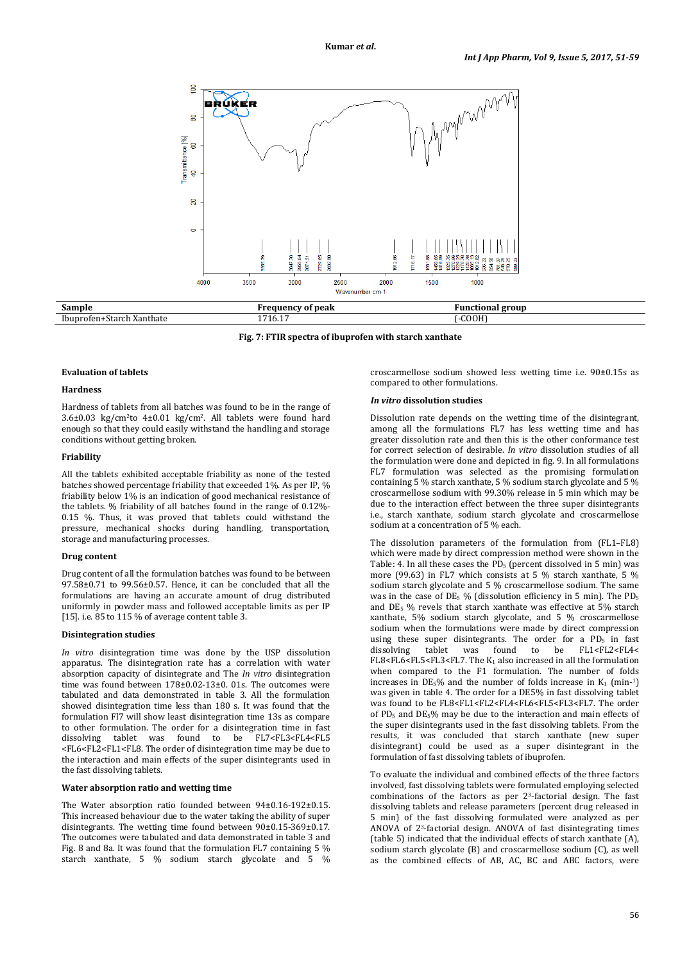

**Frequency of peak Frequency of peak Functional group** Ibuprofen+Starch Xanthate 1716.17 (-COOH)

**Fig. 7: FTIR spectra of ibuprofen with starch xanthate** 

#### **Evaluation of tablets**

#### **Hardness**

Hardness of tablets from all batches was found to be in the range of 3.6±0.03 kg/cm2to 4±0.01 kg/cm2. All tablets were found hard enough so that they could easily withstand the handling and storage conditions without getting broken.

## **Friability**

All the tablets exhibited acceptable friability as none of the tested batches showed percentage friability that exceeded 1%. As per IP, % friability below 1% is an indication of good mechanical resistance of the tablets. % friability of all batches found in the range of 0.12%- 0.15 %. Thus, it was proved that tablets could withstand the pressure, mechanical shocks during handling, transportation, storage and manufacturing processes.

#### **Drug content**

Drug content of all the formulation batches was found to be between 97.58±0.71 to 99.56±0.57. Hence, it can be concluded that all the formulations are having an accurate amount of drug distributed uniformly in powder mass and followed acceptable limits as per IP [15]. i.e. 85 to 115 % of average content table 3.

#### **Disintegration studies**

*In vitro* disintegration time was done by the USP dissolution apparatus. The disintegration rate has a correlation with water absorption capacity of disintegrate and The *In vitro* disintegration time was found between 178±0.02-13±0. 01s. The outcomes were tabulated and data demonstrated in table 3. All the formulation showed disintegration time less than 180 s. It was found that the formulation Fl7 will show least disintegration time 13s as compare to other formulation. The order for a disintegration time in fast<br>dissolving tablet was found to be  $FL7 < FL3 < FL4 < FL5$ dissolving tablet was <FL6<FL2<FL1<FL8. The order of disintegration time may be due to the interaction and main effects of the super disintegrants used in the fast dissolving tablets.

#### **Water absorption ratio and wetting time**

The Water absorption ratio founded between 94±0.16-192±0.15. This increased behaviour due to the water taking the ability of super disintegrants. The wetting time found between 90±0.15-369±0.17. The outcomes were tabulated and data demonstrated in table 3 and Fig. 8 and 8a. It was found that the formulation FL7 containing 5 % starch xanthate, 5 % sodium starch glycolate and 5 % croscarmellose sodium showed less wetting time i.e. 90±0.15s as compared to other formulations.

#### *In vitro* **dissolution studies**

Dissolution rate depends on the wetting time of the disintegrant, among all the formulations FL7 has less wetting time and has greater dissolution rate and then this is the other conformance test for correct selection of desirable. *In vitro* dissolution studies of all the formulation were done and depicted in fig. 9. In all formulations FL7 formulation was selected as the promising formulation containing 5 % starch xanthate, 5 % sodium starch glycolate and 5 % croscarmellose sodium with 99.30% release in 5 min which may be due to the interaction effect between the three super disintegrants i.e., starch xanthate, sodium starch glycolate and croscarmellose sodium at a concentration of 5 % each.

The dissolution parameters of the formulation from (FL1–FL8) which were made by direct compression method were shown in the Table: 4. In all these cases the  $PD_5$  (percent dissolved in 5 min) was more (99.63) in FL7 which consists at 5 % starch xanthate, 5 % sodium starch glycolate and 5 % croscarmellose sodium. The same was in the case of  $DE_5$  % (dissolution efficiency in 5 min). The  $PD_5$ and DE5 % revels that starch xanthate was effective at 5% starch xanthate, 5% sodium starch glycolate, and 5 % croscarmellose sodium when the formulations were made by direct compression using these super disintegrants. The order for a  $PD_5$  in fast dissolving tablet was found to be FL1<FL2<FL4< FL8<FL6<FL5<FL3<FL7. The K1 also increased in all the formulation when compared to the F1 formulation. The number of folds increases in  $DE_5\%$  and the number of folds increase in  $K_1$  (min-1) was given in table 4. The order for a DE5% in fast dissolving tablet was found to be FL8<FL1<FL2<FL4<FL6<FL5<FL3<FL7. The order of PD5 and DE5% may be due to the interaction and main effects of the super disintegrants used in the fast dissolving tablets. From the results, it was concluded that starch xanthate (new super disintegrant) could be used as a super disintegrant in the formulation of fast dissolving tablets of ibuprofen.

To evaluate the individual and combined effects of the three factors involved, fast dissolving tablets were formulated employing selected combinations of the factors as per 23-factorial design. The fast dissolving tablets and release parameters (percent drug released in 5 min) of the fast dissolving formulated were analyzed as per ANOVA of 23-factorial design. ANOVA of fast disintegrating times (table 5) indicated that the individual effects of starch xanthate (A), sodium starch glycolate (B) and croscarmellose sodium (C), as well as the combined effects of AB, AC, BC and ABC factors, were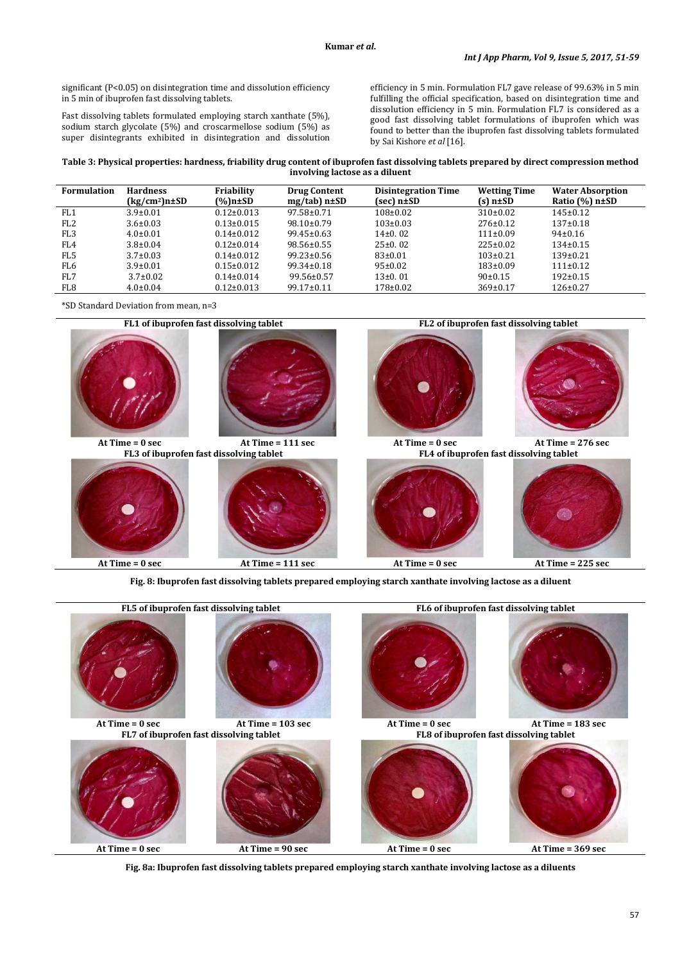significant (P<0.05) on disintegration time and dissolution efficiency in 5 min of ibuprofen fast dissolving tablets.

Fast dissolving tablets formulated employing starch xanthate (5%), sodium starch glycolate (5%) and croscarmellose sodium (5%) as super disintegrants exhibited in disintegration and dissolution efficiency in 5 min. Formulation FL7 gave release of 99.63% in 5 min fulfilling the official specification, based on disintegration time and dissolution efficiency in 5 min. Formulation FL7 is considered as a good fast dissolving tablet formulations of ibuprofen which was found to better than the ibuprofen fast dissolving tablets formulated by Sai Kishore *et al* [16].

**Table 3: Physical properties: hardness, friability drug content of ibuprofen fast dissolving tablets prepared by direct compression method involving lactose as a diluent** 

| <b>Formulation</b> | <b>Hardness</b><br>(kg/cm <sup>2</sup> )n±SD | Friability<br>(%)n±SD | <b>Drug Content</b><br>$mg(tab)$ n $\pm$ SD | <b>Disintegration Time</b><br>(sec) n±SD | <b>Wetting Time</b><br>$(s)$ n $\pm$ SD | <b>Water Absorption</b><br>Ratio $(\% )$ n $\pm$ SD |
|--------------------|----------------------------------------------|-----------------------|---------------------------------------------|------------------------------------------|-----------------------------------------|-----------------------------------------------------|
| FL <sub>1</sub>    | $3.9 \pm 0.01$                               | $0.12 \pm 0.013$      | $97.58 \pm 0.71$                            | $108 \pm 0.02$                           | $310\pm0.02$                            | $145 \pm 0.12$                                      |
| FL <sub>2</sub>    | $3.6 \pm 0.03$                               | $0.13 \pm 0.015$      | $98.10 \pm 0.79$                            | $103 \pm 0.03$                           | $276 \pm 0.12$                          | $137+0.18$                                          |
| FL <sub>3</sub>    | $4.0 \pm 0.01$                               | $0.14 \pm 0.012$      | $99.45 \pm 0.63$                            | $14\pm0.02$                              | $111 \pm 0.09$                          | $94\pm0.16$                                         |
| FL4                | $3.8 \pm 0.04$                               | $0.12 \pm 0.014$      | $98.56 \pm 0.55$                            | 25±0.02                                  | $225 \pm 0.02$                          | $134\pm0.15$                                        |
| FL5                | $3.7 \pm 0.03$                               | $0.14 \pm 0.012$      | $99.23 \pm 0.56$                            | 83±0.01                                  | $103 \pm 0.21$                          | $139 \pm 0.21$                                      |
| FL6                | $3.9 \pm 0.01$                               | $0.15 \pm 0.012$      | $99.34 \pm 0.18$                            | $95 \pm 0.02$                            | $183 \pm 0.09$                          | $111 \pm 0.12$                                      |
| FL7                | $3.7 \pm 0.02$                               | $0.14 \pm 0.014$      | $99.56 \pm 0.57$                            | $13\pm0.01$                              | $90\pm0.15$                             | $192 \pm 0.15$                                      |
| FL8                | $4.0 \pm 0.04$                               | $0.12 \pm 0.013$      | 99.17±0.11                                  | $178 \pm 0.02$                           | $369 \pm 0.17$                          | $126 \pm 0.27$                                      |

\*SD Standard Deviation from mean, n=3



**Fig. 8: Ibuprofen fast dissolving tablets prepared employing starch xanthate involving lactose as a diluent**



**Fig. 8a: Ibuprofen fast dissolving tablets prepared employing starch xanthate involving lactose as a diluents**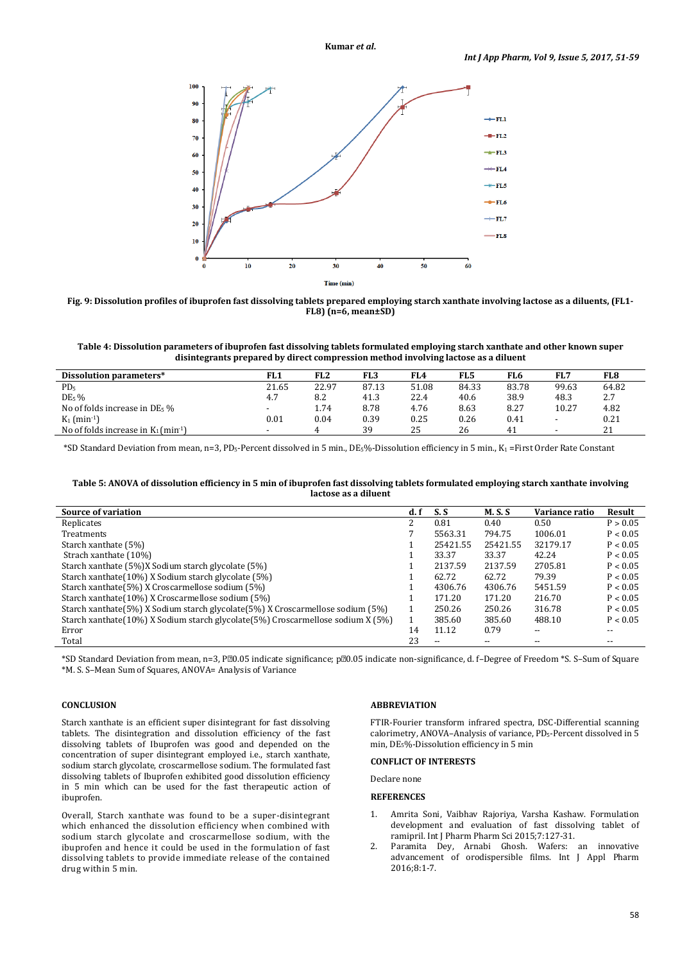**Kumar** *et al***.**





**Table 4: Dissolution parameters of ibuprofen fast dissolving tablets formulated employing starch xanthate and other known super disintegrants prepared by direct compression method involving lactose as a diluent** 

| Dissolution parameters*                            | FL1                      | FL <sub>2</sub> | FL3   | FL4   | FL5   | FL6   | FL7                      | FL8   |
|----------------------------------------------------|--------------------------|-----------------|-------|-------|-------|-------|--------------------------|-------|
| PD <sub>5</sub>                                    | 21.65                    | 22.97           | 87.13 | 51.08 | 84.33 | 83.78 | 99.63                    | 64.82 |
| DE <sub>5</sub> %                                  | 4.7                      | 8.2             | 41.3  | 22.4  | 40.6  | 38.9  | 48.3                     | 2.7   |
| No of folds increase in DE <sub>5</sub> %          | $\overline{\phantom{0}}$ | 1.74            | 8.78  | 4.76  | 8.63  | 8.27  | 10.27                    | 4.82  |
| $K_1$ (min <sup>-1</sup> )                         | 0.01                     | 0.04            | 0.39  | 0.25  | 0.26  | 0.41  | $\overline{\phantom{0}}$ | 0.21  |
| No of folds increase in $K_1$ (min <sup>-1</sup> ) | $\sim$                   |                 | 39    | 25    | 26    | 41    |                          | 21    |

\*SD Standard Deviation from mean, n=3, PD5-Percent dissolved in 5 min., DE5%-Dissolution efficiency in 5 min., K1 =First Order Rate Constant

#### **Table 5: ANOVA of dissolution efficiency in 5 min of ibuprofen fast dissolving tablets formulated employing starch xanthate involving lactose as a diluent**

| <b>Source of variation</b>                                                        | d. f | S.S                      | <b>M.S.S</b> | Variance ratio | Result   |
|-----------------------------------------------------------------------------------|------|--------------------------|--------------|----------------|----------|
| Replicates                                                                        | າ    | 0.81                     | 0.40         | 0.50           | P > 0.05 |
| <b>Treatments</b>                                                                 |      | 5563.31                  | 794.75       | 1006.01        | P < 0.05 |
| Starch xanthate (5%)                                                              |      | 25421.55                 | 25421.55     | 32179.17       | P < 0.05 |
| Strach xanthate (10%)                                                             |      | 33.37                    | 33.37        | 42.24          | P < 0.05 |
| Starch xanthate (5%)X Sodium starch glycolate (5%)                                |      | 2137.59                  | 2137.59      | 2705.81        | P < 0.05 |
| Starch xanthate (10%) X Sodium starch glycolate (5%)                              |      | 62.72                    | 62.72        | 79.39          | P < 0.05 |
| Starch xanthate(5%) X Croscarmellose sodium (5%)                                  |      | 4306.76                  | 4306.76      | 5451.59        | P < 0.05 |
| Starch xanthate (10%) X Croscarmellose sodium (5%)                                |      | 171.20                   | 171.20       | 216.70         | P < 0.05 |
| Starch xanthate (5%) X Sodium starch glycolate (5%) X Croscarmellose sodium (5%)  |      | 250.26                   | 250.26       | 316.78         | P < 0.05 |
| Starch xanthate (10%) X Sodium starch glycolate (5%) Croscarmellose sodium X (5%) |      | 385.60                   | 385.60       | 488.10         | P < 0.05 |
| Error                                                                             | 14   | 11.12                    | 0.79         | --             | $- -$    |
| Total                                                                             | 23   | $\overline{\phantom{a}}$ |              |                | $- -$    |

\*SD Standard Deviation from mean, n=3, P20.05 indicate significance; p20.05 indicate non-significance, d. f–Degree of Freedom \*S. S–Sum of Square \*M. S. S–Mean Sum of Squares, ANOVA= Analysis of Variance

## **CONCLUSION**

Starch xanthate is an efficient super disintegrant for fast dissolving tablets. The disintegration and dissolution efficiency of the fast dissolving tablets of Ibuprofen was good and depended on the concentration of super disintegrant employed i.e., starch xanthate, sodium starch glycolate, croscarmellose sodium. The formulated fast dissolving tablets of Ibuprofen exhibited good dissolution efficiency in 5 min which can be used for the fast therapeutic action of ibuprofen.

Overall, Starch xanthate was found to be a super-disintegrant which enhanced the dissolution efficiency when combined with sodium starch glycolate and croscarmellose sodium, with the ibuprofen and hence it could be used in the formulation of fast dissolving tablets to provide immediate release of the contained drug within 5 min.

## **ABBREVIATION**

FTIR-Fourier transform infrared spectra, DSC-Differential scanning calorimetry, ANOVA–Analysis of variance, PD<sub>5</sub>-Percent dissolved in 5 min, DE5%-Dissolution efficiency in 5 min

## **CONFLICT OF INTERESTS**

# Declare none

## **REFERENCES**

- 1. Amrita Soni, Vaibhav Rajoriya, Varsha Kashaw. Formulation development and evaluation of fast dissolving tablet of ramipril. Int J Pharm Pharm Sci 2015;7:127-31.
- 2. Paramita Dey, Arnabi Ghosh. Wafers: an innovative advancement of orodispersible films. Int J Appl Pharm 2016;8:1-7.